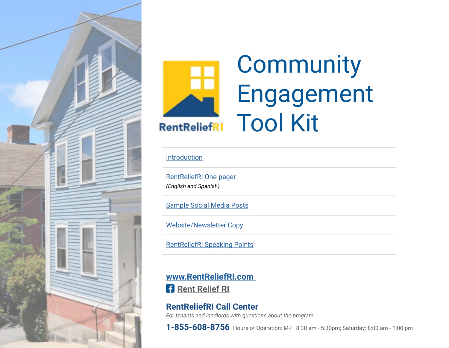<span id="page-0-0"></span>



# **Community** Engagement Tool Kit

### **[Introduction](#page-1-0)**

[RentReliefRI One-pager](https://www.rihousing.com/wp-content/uploads/RentReliefRI_1Pager_EngSpa_03232021.pdf) *(English and Spanish)*

[Sample Social Media Posts](#page-2-0)

[Website/Newsletter Copy](#page-3-0)

[RentReliefRI Speaking Points](#page-4-0)

**[www.RentReliefRI.com](http://www.RentReliefRI.com)  [Rent Relief RI](https://www.facebook.com/Rent-Relief-RI-101339102058797)** 

### **RentReliefRI Call Center** *For tenants and landlords with questions about the program*

**1-855-608-8756** Hours of Operation: M-F: 8:30 am - 5:30pm; Saturday: 8:00 am - 1:00 pm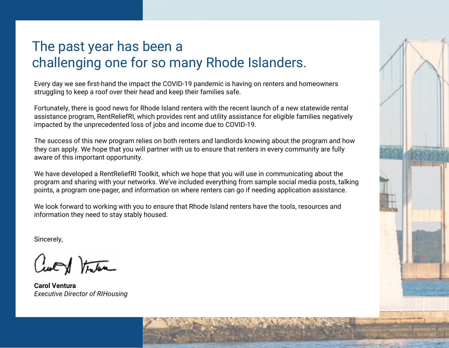### <span id="page-1-0"></span>The past year has been a challenging one for so many Rhode Islanders.

Every day we see first-hand the impact the COVID-19 pandemic is having on renters and homeowners struggling to keep a roof over their head and keep their families safe.

Fortunately, there is good news for Rhode Island renters with the recent launch of a new statewide rental assistance program, RentReliefRI, which provides rent and utility assistance for eligible families negatively impacted by the unprecedented loss of jobs and income due to COVID-19.

The success of this new program relies on both renters and landlords knowing about the program and how they can apply. We hope that you will partner with us to ensure that renters in every community are fully aware of this important opportunity.

We have developed a RentReliefRI Toolkit, which we hope that you will use in communicating about the program and sharing with your networks. We've included everything from sample social media posts, talking points, a program one-pager, and information on where renters can go if needing application assistance.

We look forward to working with you to ensure that Rhode Island renters have the tools, resources and information they need to stay stably housed.

Sincerely,

Curt forten

**Carol Ventura** *Executive Director of RIHousing*

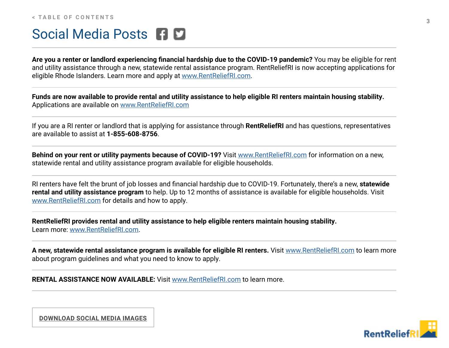### <span id="page-2-0"></span>Social Media Posts **FID**

**Are you a renter or landlord experiencing financial hardship due to the COVID-19 pandemic?** You may be eligible for rent and utility assistance through a new, statewide rental assistance program. RentReliefRI is now accepting applications for eligible Rhode Islanders. Learn more and apply at [www.RentReliefRI.com](http://www.RentReliefRI.com).

**Funds are now available to provide rental and utility assistance to help eligible RI renters maintain housing stability.**  Applications are available on [www.RentReliefRI.com](http://www.RentReliefRI.com)

If you are a RI renter or landlord that is applying for assistance through **RentReliefRI** and has questions, representatives are available to assist at **1-855-608-8756**.

**Behind on your rent or utility payments because of COVID-19?** Visit [www.RentReliefRI.com](http://www.RentReliefRI.com) for information on a new, statewide rental and utility assistance program available for eligible households.

RI renters have felt the brunt of job losses and financial hardship due to COVID-19. Fortunately, there's a new, **statewide rental and utility assistance program** to help. Up to 12 months of assistance is available for eligible households. Visit [www.RentReliefRI.com](http://www.RentReliefRI.com) for details and how to apply.

**RentReliefRI provides rental and utility assistance to help eligible renters maintain housing stability.**  Learn more: [www.RentReliefRI.com](http://www.RentReliefRI.com).

**A new, statewide rental assistance program is available for eligible RI renters.** Visit [www.RentReliefRI.com](http://www.RentReliefRI.com) to learn more about program guidelines and what you need to know to apply.

**RENTAL ASSISTANCE NOW AVAILABLE:** Visit [www.RentReliefRI.com](http://www.RentReliefRI.com) to learn more.



**[DOWNLOAD SOCIAL MEDIA IMAGES](https://www.rihousing.com/wp-content/uploads/RentReliefRI_SocialImages.zip)**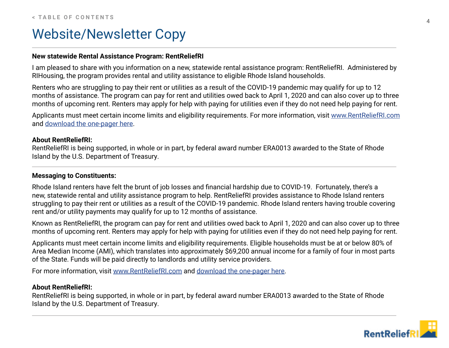### <span id="page-3-0"></span>Website/Newsletter Copy

#### **New statewide Rental Assistance Program: RentReliefRI**

I am pleased to share with you information on a new, statewide rental assistance program: RentReliefRI. Administered by RIHousing, the program provides rental and utility assistance to eligible Rhode Island households.

Renters who are struggling to pay their rent or utilities as a result of the COVID-19 pandemic may qualify for up to 12 months of assistance. The program can pay for rent and utilities owed back to April 1, 2020 and can also cover up to three months of upcoming rent. Renters may apply for help with paying for utilities even if they do not need help paying for rent.

Applicants must meet certain income limits and eligibility requirements. For more information, visit [www.RentReliefRI.com](http://www.RentReliefRI.com) and [download the one-pager here.](https://www.rihousing.com/wp-content/uploads/RentReliefRI_1Pager_EngSpa_03232021.pdf)

#### **About RentReliefRI:**

RentReliefRI is being supported, in whole or in part, by federal award number ERA0013 awarded to the State of Rhode Island by the U.S. Department of Treasury.

#### **Messaging to Constituents:**

Rhode Island renters have felt the brunt of job losses and financial hardship due to COVID-19. Fortunately, there's a new, statewide rental and utility assistance program to help. RentReliefRI provides assistance to Rhode Island renters struggling to pay their rent or utilities as a result of the COVID-19 pandemic. Rhode Island renters having trouble covering rent and/or utility payments may qualify for up to 12 months of assistance.

Known as RentReliefRI, the program can pay for rent and utilities owed back to April 1, 2020 and can also cover up to three months of upcoming rent. Renters may apply for help with paying for utilities even if they do not need help paying for rent.

Applicants must meet certain income limits and eligibility requirements. Eligible households must be at or below 80% of Area Median Income (AMI), which translates into approximately \$69,200 annual income for a family of four in most parts of the State. Funds will be paid directly to landlords and utility service providers.

For more information, visit [www.RentReliefRI.com](http://www.RentReliefRI.com) and [download the one-pager here.](https://www.rihousing.com/wp-content/uploads/RentReliefRI_1Pager_EngSpa_03232021.pdf)

#### **About RentReliefRI:**

RentReliefRI is being supported, in whole or in part, by federal award number ERA0013 awarded to the State of Rhode Island by the U.S. Department of Treasury.

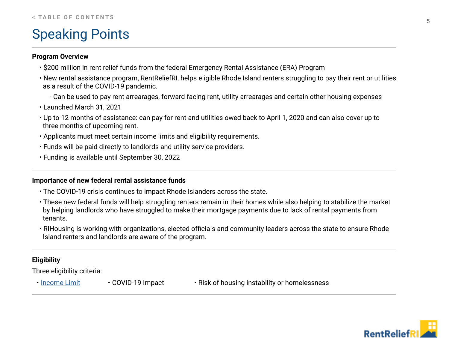### <span id="page-4-0"></span>Speaking Points

### **Program Overview**

- \$200 million in rent relief funds from the federal Emergency Rental Assistance (ERA) Program
- New rental assistance program, RentReliefRI, helps eligible Rhode Island renters struggling to pay their rent or utilities as a result of the COVID-19 pandemic.
	- Can be used to pay rent arrearages, forward facing rent, utility arrearages and certain other housing expenses
- Launched March 31, 2021
- Up to 12 months of assistance: can pay for rent and utilities owed back to April 1, 2020 and can also cover up to three months of upcoming rent.
- Applicants must meet certain income limits and eligibility requirements.
- Funds will be paid directly to landlords and utility service providers.
- Funding is available until September 30, 2022

### **Importance of new federal rental assistance funds**

- The COVID-19 crisis continues to impact Rhode Islanders across the state.
- These new federal funds will help struggling renters remain in their homes while also helping to stabilize the market by helping landlords who have struggled to make their mortgage payments due to lack of rental payments from tenants.
- RIHousing is working with organizations, elected officials and community leaders across the state to ensure Rhode Island renters and landlords are aware of the program.

### **Eligibility**

Three eligibility criteria:

- 
- 
- [Income Limit](https://www.rihousing.com/wp-content/uploads/RentReliefRI_80-percent-AMI.pdf) COVID-19 Impact Risk of housing instability or homelessness

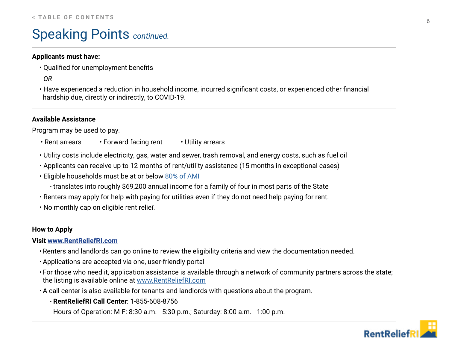### Speaking Points *continued.*

### **Applicants must have:**

- Qualified for unemployment benefits
- *OR*
- Have experienced a reduction in household income, incurred significant costs, or experienced other financial hardship due, directly or indirectly, to COVID-19.

### **Available Assistance**

Program may be used to pay:

- Rent arrears Forward facing rent Utility arrears
- Utility costs include electricity, gas, water and sewer, trash removal, and energy costs, such as fuel oil
- Applicants can receive up to 12 months of rent/utility assistance (15 months in exceptional cases)
- Eligible households must be at or below [80% of AMI](https://www.rihousing.com/wp-content/uploads/RentReliefRI_80-percent-AMI.pdf)
	- translates into roughly \$69,200 annual income for a family of four in most parts of the State
- Renters may apply for help with paying for utilities even if they do not need help paying for rent.
- No monthly cap on eligible rent relief.

### **How to Apply**

### **Visit [www.RentReliefRI.com](http://www.RentReliefRI.com)**

- Renters and landlords can go online to review the eligibility criteria and view the documentation needed.
- Applications are accepted via one, user-friendly portal
- For those who need it, application assistance is available through a network of community partners across the state; the listing is available online at [www.RentReliefRI.com](http://www.RentReliefRI.com)
- A call center is also available for tenants and landlords with questions about the program.
	- **RentReliefRI Call Center**: 1-855-608-8756
	- Hours of Operation: M-F: 8:30 a.m. 5:30 p.m.; Saturday: 8:00 a.m. 1:00 p.m.